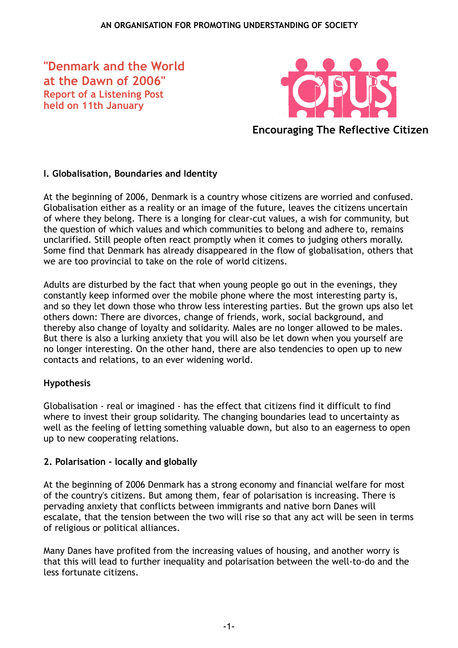**"Denmark and the World at the Dawn of 2006" Report of a Listening Post held on 11th January**



**Encouraging The Reflective Citizen**

### **I. Globalisation, Boundaries and Identity**

At the beginning of 2006, Denmark is a country whose citizens are worried and confused. Globalisation either as a reality or an image of the future, leaves the citizens uncertain of where they belong. There is a longing for clear-cut values, a wish for community, but the question of which values and which communities to belong and adhere to, remains unclarified. Still people often react promptly when it comes to judging others morally. Some find that Denmark has already disappeared in the flow of globalisation, others that we are too provincial to take on the role of world citizens.

Adults are disturbed by the fact that when young people go out in the evenings, they constantly keep informed over the mobile phone where the most interesting party is, and so they let down those who throw less interesting parties. But the grown ups also let others down: There are divorces, change of friends, work, social background, and thereby also change of loyalty and solidarity. Males are no longer allowed to be males. But there is also a lurking anxiety that you will also be let down when you yourself are no longer interesting. On the other hand, there are also tendencies to open up to new contacts and relations, to an ever widening world.

### **Hypothesis**

Globalisation - real or imagined - has the effect that citizens find it difficult to find where to invest their group solidarity. The changing boundaries lead to uncertainty as well as the feeling of letting something valuable down, but also to an eagerness to open up to new cooperating relations.

### **2. Polarisation - locally and globally**

At the beginning of 2006 Denmark has a strong economy and financial welfare for most of the country's citizens. But among them, fear of polarisation is increasing. There is pervading anxiety that conflicts between immigrants and native born Danes will escalate, that the tension between the two will rise so that any act will be seen in terms of religious or political alliances.

Many Danes have profited from the increasing values of housing, and another worry is that this will lead to further inequality and polarisation between the well-to-do and the less fortunate citizens.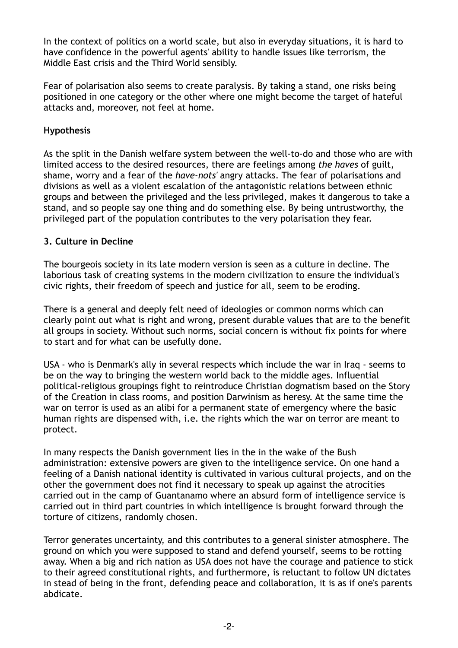In the context of politics on a world scale, but also in everyday situations, it is hard to have confidence in the powerful agents' ability to handle issues like terrorism, the Middle East crisis and the Third World sensibly.

Fear of polarisation also seems to create paralysis. By taking a stand, one risks being positioned in one category or the other where one might become the target of hateful attacks and, moreover, not feel at home.

# **Hypothesis**

As the split in the Danish welfare system between the well-to-do and those who are with limited access to the desired resources, there are feelings among *the haves* of guilt, shame, worry and a fear of the *have-nots'* angry attacks. The fear of polarisations and divisions as well as a violent escalation of the antagonistic relations between ethnic groups and between the privileged and the less privileged, makes it dangerous to take a stand, and so people say one thing and do something else. By being untrustworthy, the privileged part of the population contributes to the very polarisation they fear.

### **3. Culture in Decline**

The bourgeois society in its late modern version is seen as a culture in decline. The laborious task of creating systems in the modern civilization to ensure the individual's civic rights, their freedom of speech and justice for all, seem to be eroding.

There is a general and deeply felt need of ideologies or common norms which can clearly point out what is right and wrong, present durable values that are to the benefit all groups in society. Without such norms, social concern is without fix points for where to start and for what can be usefully done.

USA - who is Denmark's ally in several respects which include the war in Iraq - seems to be on the way to bringing the western world back to the middle ages. Influential political-religious groupings fight to reintroduce Christian dogmatism based on the Story of the Creation in class rooms, and position Darwinism as heresy. At the same time the war on terror is used as an alibi for a permanent state of emergency where the basic human rights are dispensed with, i.e. the rights which the war on terror are meant to protect.

In many respects the Danish government lies in the in the wake of the Bush administration: extensive powers are given to the intelligence service. On one hand a feeling of a Danish national identity is cultivated in various cultural projects, and on the other the government does not find it necessary to speak up against the atrocities carried out in the camp of Guantanamo where an absurd form of intelligence service is carried out in third part countries in which intelligence is brought forward through the torture of citizens, randomly chosen.

Terror generates uncertainty, and this contributes to a general sinister atmosphere. The ground on which you were supposed to stand and defend yourself, seems to be rotting away. When a big and rich nation as USA does not have the courage and patience to stick to their agreed constitutional rights, and furthermore, is reluctant to follow UN dictates in stead of being in the front, defending peace and collaboration, it is as if one's parents abdicate.